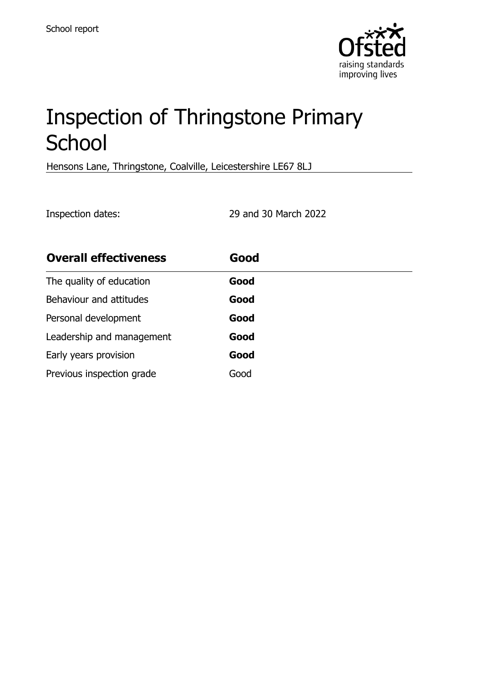

# Inspection of Thringstone Primary **School**

Hensons Lane, Thringstone, Coalville, Leicestershire LE67 8LJ

Inspection dates: 29 and 30 March 2022

| <b>Overall effectiveness</b> | Good |
|------------------------------|------|
| The quality of education     | Good |
| Behaviour and attitudes      | Good |
| Personal development         | Good |
| Leadership and management    | Good |
| Early years provision        | Good |
| Previous inspection grade    | Good |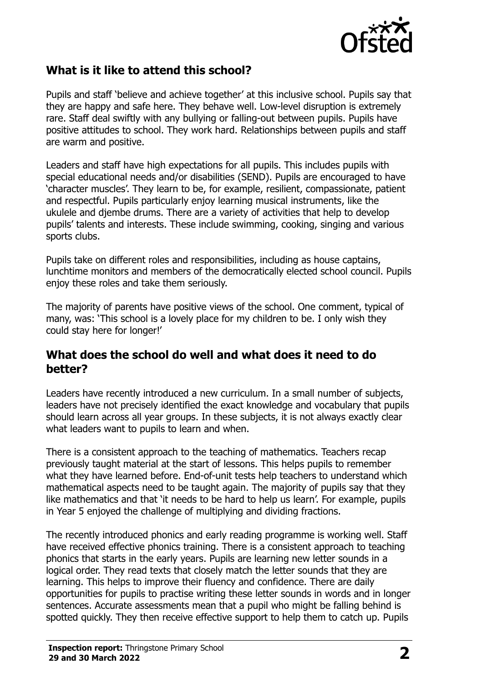

#### **What is it like to attend this school?**

Pupils and staff 'believe and achieve together' at this inclusive school. Pupils say that they are happy and safe here. They behave well. Low-level disruption is extremely rare. Staff deal swiftly with any bullying or falling-out between pupils. Pupils have positive attitudes to school. They work hard. Relationships between pupils and staff are warm and positive.

Leaders and staff have high expectations for all pupils. This includes pupils with special educational needs and/or disabilities (SEND). Pupils are encouraged to have 'character muscles'. They learn to be, for example, resilient, compassionate, patient and respectful. Pupils particularly enjoy learning musical instruments, like the ukulele and djembe drums. There are a variety of activities that help to develop pupils' talents and interests. These include swimming, cooking, singing and various sports clubs.

Pupils take on different roles and responsibilities, including as house captains, lunchtime monitors and members of the democratically elected school council. Pupils enjoy these roles and take them seriously.

The majority of parents have positive views of the school. One comment, typical of many, was: 'This school is a lovely place for my children to be. I only wish they could stay here for longer!'

#### **What does the school do well and what does it need to do better?**

Leaders have recently introduced a new curriculum. In a small number of subjects, leaders have not precisely identified the exact knowledge and vocabulary that pupils should learn across all year groups. In these subjects, it is not always exactly clear what leaders want to pupils to learn and when.

There is a consistent approach to the teaching of mathematics. Teachers recap previously taught material at the start of lessons. This helps pupils to remember what they have learned before. End-of-unit tests help teachers to understand which mathematical aspects need to be taught again. The majority of pupils say that they like mathematics and that 'it needs to be hard to help us learn'. For example, pupils in Year 5 enjoyed the challenge of multiplying and dividing fractions.

The recently introduced phonics and early reading programme is working well. Staff have received effective phonics training. There is a consistent approach to teaching phonics that starts in the early years. Pupils are learning new letter sounds in a logical order. They read texts that closely match the letter sounds that they are learning. This helps to improve their fluency and confidence. There are daily opportunities for pupils to practise writing these letter sounds in words and in longer sentences. Accurate assessments mean that a pupil who might be falling behind is spotted quickly. They then receive effective support to help them to catch up. Pupils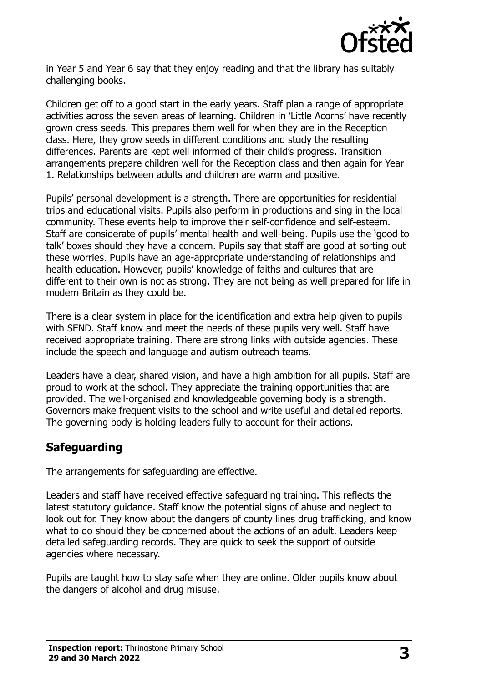

in Year 5 and Year 6 say that they enjoy reading and that the library has suitably challenging books.

Children get off to a good start in the early years. Staff plan a range of appropriate activities across the seven areas of learning. Children in 'Little Acorns' have recently grown cress seeds. This prepares them well for when they are in the Reception class. Here, they grow seeds in different conditions and study the resulting differences. Parents are kept well informed of their child's progress. Transition arrangements prepare children well for the Reception class and then again for Year 1. Relationships between adults and children are warm and positive.

Pupils' personal development is a strength. There are opportunities for residential trips and educational visits. Pupils also perform in productions and sing in the local community. These events help to improve their self-confidence and self-esteem. Staff are considerate of pupils' mental health and well-being. Pupils use the 'good to talk' boxes should they have a concern. Pupils say that staff are good at sorting out these worries. Pupils have an age-appropriate understanding of relationships and health education. However, pupils' knowledge of faiths and cultures that are different to their own is not as strong. They are not being as well prepared for life in modern Britain as they could be.

There is a clear system in place for the identification and extra help given to pupils with SEND. Staff know and meet the needs of these pupils very well. Staff have received appropriate training. There are strong links with outside agencies. These include the speech and language and autism outreach teams.

Leaders have a clear, shared vision, and have a high ambition for all pupils. Staff are proud to work at the school. They appreciate the training opportunities that are provided. The well-organised and knowledgeable governing body is a strength. Governors make frequent visits to the school and write useful and detailed reports. The governing body is holding leaders fully to account for their actions.

#### **Safeguarding**

The arrangements for safeguarding are effective.

Leaders and staff have received effective safeguarding training. This reflects the latest statutory guidance. Staff know the potential signs of abuse and neglect to look out for. They know about the dangers of county lines drug trafficking, and know what to do should they be concerned about the actions of an adult. Leaders keep detailed safeguarding records. They are quick to seek the support of outside agencies where necessary.

Pupils are taught how to stay safe when they are online. Older pupils know about the dangers of alcohol and drug misuse.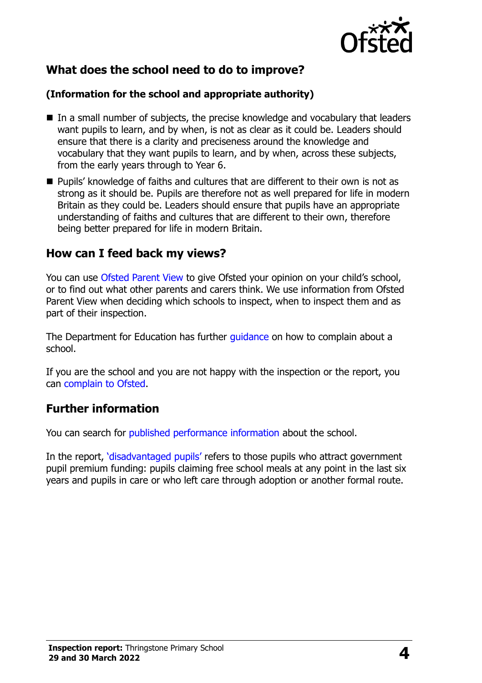

# **What does the school need to do to improve?**

#### **(Information for the school and appropriate authority)**

- In a small number of subjects, the precise knowledge and vocabulary that leaders want pupils to learn, and by when, is not as clear as it could be. Leaders should ensure that there is a clarity and preciseness around the knowledge and vocabulary that they want pupils to learn, and by when, across these subjects, from the early years through to Year 6.
- Pupils' knowledge of faiths and cultures that are different to their own is not as strong as it should be. Pupils are therefore not as well prepared for life in modern Britain as they could be. Leaders should ensure that pupils have an appropriate understanding of faiths and cultures that are different to their own, therefore being better prepared for life in modern Britain.

#### **How can I feed back my views?**

You can use [Ofsted Parent View](http://parentview.ofsted.gov.uk/) to give Ofsted your opinion on your child's school, or to find out what other parents and carers think. We use information from Ofsted Parent View when deciding which schools to inspect, when to inspect them and as part of their inspection.

The Department for Education has further quidance on how to complain about a school.

If you are the school and you are not happy with the inspection or the report, you can [complain to Ofsted.](http://www.gov.uk/complain-ofsted-report)

# **Further information**

You can search for [published performance information](http://www.compare-school-performance.service.gov.uk/) about the school.

In the report, '[disadvantaged pupils](http://www.gov.uk/guidance/pupil-premium-information-for-schools-and-alternative-provision-settings)' refers to those pupils who attract government pupil premium funding: pupils claiming free school meals at any point in the last six years and pupils in care or who left care through adoption or another formal route.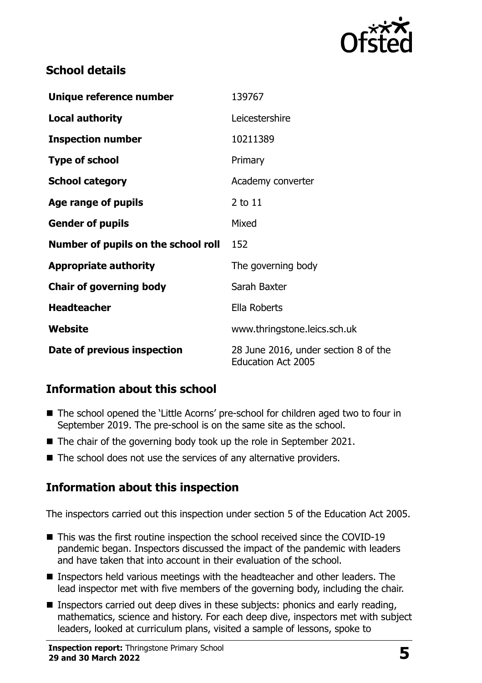

# **School details**

| Unique reference number             | 139767                                                            |
|-------------------------------------|-------------------------------------------------------------------|
| <b>Local authority</b>              | Leicestershire                                                    |
| <b>Inspection number</b>            | 10211389                                                          |
| <b>Type of school</b>               | Primary                                                           |
| <b>School category</b>              | Academy converter                                                 |
| Age range of pupils                 | 2 to 11                                                           |
| <b>Gender of pupils</b>             | Mixed                                                             |
| Number of pupils on the school roll | 152                                                               |
| <b>Appropriate authority</b>        | The governing body                                                |
| <b>Chair of governing body</b>      | Sarah Baxter                                                      |
| <b>Headteacher</b>                  | Ella Roberts                                                      |
| Website                             | www.thringstone.leics.sch.uk                                      |
| Date of previous inspection         | 28 June 2016, under section 8 of the<br><b>Education Act 2005</b> |

# **Information about this school**

- The school opened the 'Little Acorns' pre-school for children aged two to four in September 2019. The pre-school is on the same site as the school.
- The chair of the governing body took up the role in September 2021.
- The school does not use the services of any alternative providers.

# **Information about this inspection**

The inspectors carried out this inspection under section 5 of the Education Act 2005.

- This was the first routine inspection the school received since the COVID-19 pandemic began. Inspectors discussed the impact of the pandemic with leaders and have taken that into account in their evaluation of the school.
- **Inspectors held various meetings with the headteacher and other leaders. The** lead inspector met with five members of the governing body, including the chair.
- **Inspectors carried out deep dives in these subjects: phonics and early reading,** mathematics, science and history. For each deep dive, inspectors met with subject leaders, looked at curriculum plans, visited a sample of lessons, spoke to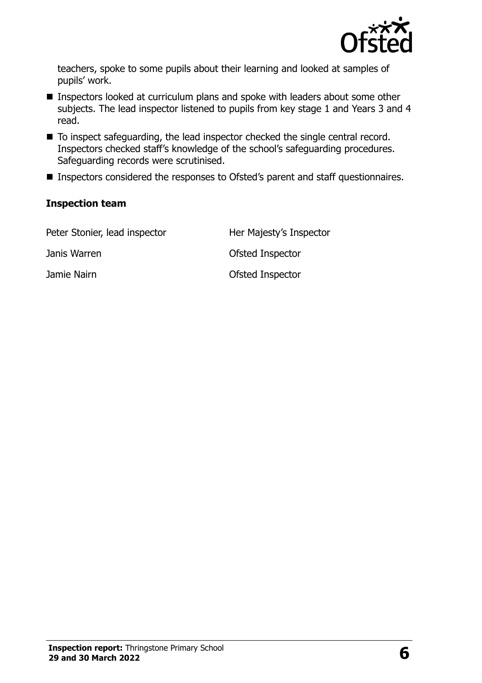

teachers, spoke to some pupils about their learning and looked at samples of pupils' work.

- Inspectors looked at curriculum plans and spoke with leaders about some other subjects. The lead inspector listened to pupils from key stage 1 and Years 3 and 4 read.
- To inspect safeguarding, the lead inspector checked the single central record. Inspectors checked staff's knowledge of the school's safeguarding procedures. Safeguarding records were scrutinised.
- **Inspectors considered the responses to Ofsted's parent and staff questionnaires.**

#### **Inspection team**

| Peter Stonier, lead inspector | Her Majesty's Inspector |
|-------------------------------|-------------------------|
| Janis Warren                  | Ofsted Inspector        |
| Jamie Nairn                   | Ofsted Inspector        |